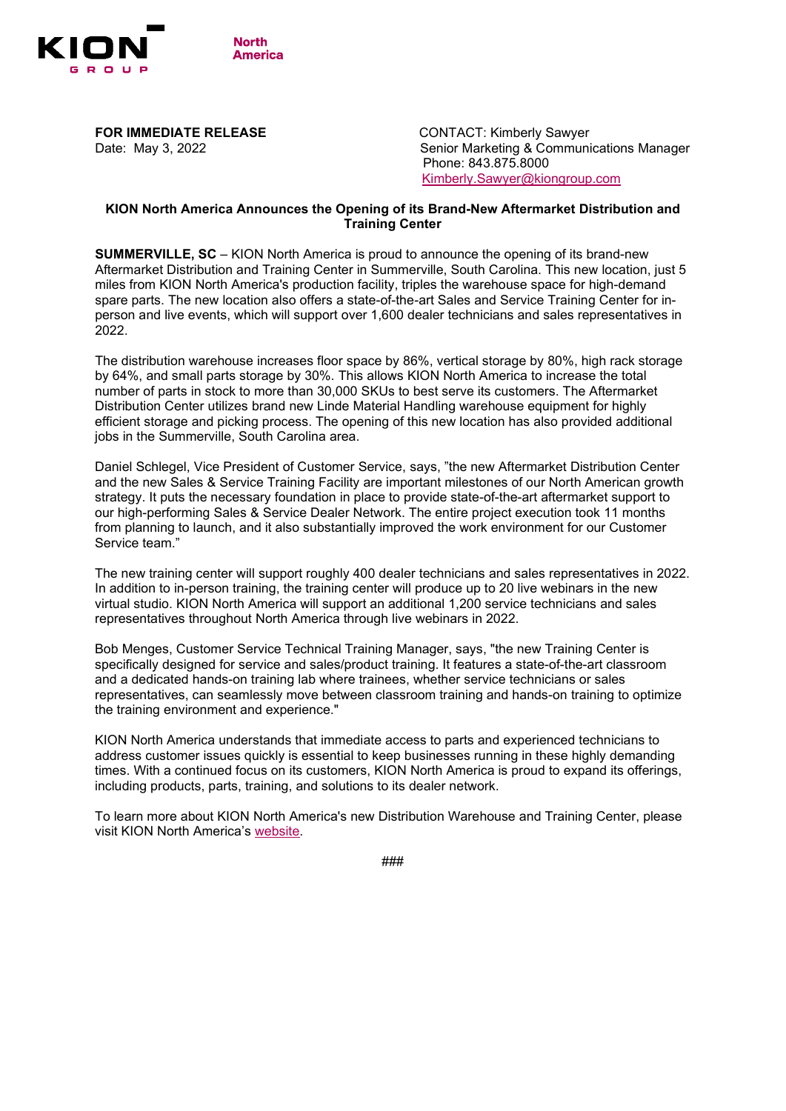

**FOR IMMEDIATE RELEASE** CONTACT: Kimberly Sawyer

Date: May 3, 2022 Senior Marketing & Communications Manager Phone: 843.875.8000 [Kimberly.Sawyer@kiongroup.com](mailto:Kimberly.Sawyer@kiongroup.com)

## **KION North America Announces the Opening of its Brand-New Aftermarket Distribution and Training Center**

**SUMMERVILLE, SC** – KION North America is proud to announce the opening of its brand-new Aftermarket Distribution and Training Center in Summerville, South Carolina. This new location, just 5 miles from KION North America's production facility, triples the warehouse space for high-demand spare parts. The new location also offers a state-of-the-art Sales and Service Training Center for inperson and live events, which will support over 1,600 dealer technicians and sales representatives in 2022.

The distribution warehouse increases floor space by 86%, vertical storage by 80%, high rack storage by 64%, and small parts storage by 30%. This allows KION North America to increase the total number of parts in stock to more than 30,000 SKUs to best serve its customers. The Aftermarket Distribution Center utilizes brand new Linde Material Handling warehouse equipment for highly efficient storage and picking process. The opening of this new location has also provided additional jobs in the Summerville, South Carolina area.

Daniel Schlegel, Vice President of Customer Service, says, "the new Aftermarket Distribution Center and the new Sales & Service Training Facility are important milestones of our North American growth strategy. It puts the necessary foundation in place to provide state-of-the-art aftermarket support to our high-performing Sales & Service Dealer Network. The entire project execution took 11 months from planning to launch, and it also substantially improved the work environment for our Customer Service team."

The new training center will support roughly 400 dealer technicians and sales representatives in 2022. In addition to in-person training, the training center will produce up to 20 live webinars in the new virtual studio. KION North America will support an additional 1,200 service technicians and sales representatives throughout North America through live webinars in 2022.

Bob Menges, Customer Service Technical Training Manager, says, "the new Training Center is specifically designed for service and sales/product training. It features a state-of-the-art classroom and a dedicated hands-on training lab where trainees, whether service technicians or sales representatives, can seamlessly move between classroom training and hands-on training to optimize the training environment and experience."

KION North America understands that immediate access to parts and experienced technicians to address customer issues quickly is essential to keep businesses running in these highly demanding times. With a continued focus on its customers, KION North America is proud to expand its offerings, including products, parts, training, and solutions to its dealer network.

To learn more about KION North America's new Distribution Warehouse and Training Center, please visit KION North America's [website.](https://lindeforklifts.com/aftermarket-training-center/)

###